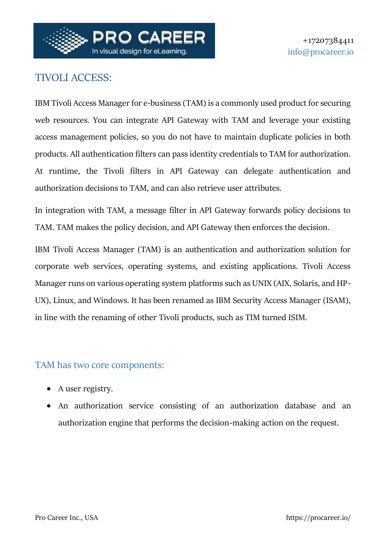

# TIVOLI ACCESS:

IBM Tivoli Access Manager for e-business (TAM) is a commonly used product for securing web resources. You can integrate API Gateway with TAM and leverage your existing access management policies, so you do not have to maintain duplicate policies in both products. All authentication filters can pass identity credentials to TAM for authorization. At runtime, the Tivoli filters in API Gateway can delegate authentication and authorization decisions to TAM, and can also retrieve user attributes.

In integration with TAM, a message filter in API Gateway forwards policy decisions to TAM. TAM makes the policy decision, and API Gateway then enforces the decision.

IBM Tivoli Access Manager (TAM) is an authentication and authorization solution for corporate web services, operating systems, and existing applications. Tivoli Access Manager runs on various operating system platforms such as UNIX (AIX, Solaris, and HP-UX), Linux, and Windows. It has been renamed as IBM Security Access Manager (ISAM), in line with the renaming of other Tivoli products, such as TIM turned ISIM.

#### TAM has two core components:

- A user registry.
- An authorization service consisting of an authorization database and an authorization engine that performs the decision-making action on the request.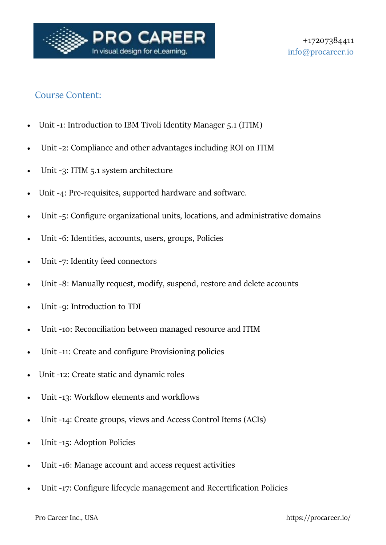

### Course Content:

- Unit -1: Introduction to IBM Tivoli Identity Manager 5.1 (ITIM)
- Unit -2: Compliance and other advantages including ROI on ITIM
- Unit -3: ITIM 5.1 system architecture
- Unit -4: Pre-requisites, supported hardware and software.
- Unit -5: Configure organizational units, locations, and administrative domains
- Unit -6: Identities, accounts, users, groups, Policies
- Unit -7: Identity feed connectors
- Unit -8: Manually request, modify, suspend, restore and delete accounts
- Unit -9: Introduction to TDI
- Unit -10: Reconciliation between managed resource and ITIM
- Unit -11: Create and configure Provisioning policies
- Unit -12: Create static and dynamic roles
- Unit -13: Workflow elements and workflows
- Unit -14: Create groups, views and Access Control Items (ACIs)
- Unit -15: Adoption Policies
- Unit -16: Manage account and access request activities
- Unit -17: Configure lifecycle management and Recertification Policies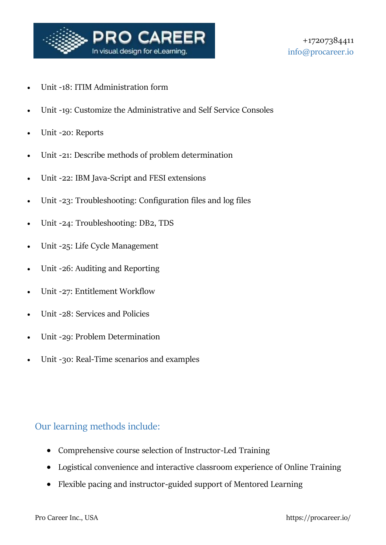

- Unit -18: ITIM Administration form
- Unit -19: Customize the Administrative and Self Service Consoles
- Unit -20: Reports
- Unit -21: Describe methods of problem determination
- Unit -22: IBM Java-Script and FESI extensions
- Unit -23: Troubleshooting: Configuration files and log files
- Unit -24: Troubleshooting: DB2, TDS
- Unit -25: Life Cycle Management
- Unit -26: Auditing and Reporting
- Unit -27: Entitlement Workflow
- Unit -28: Services and Policies
- Unit -29: Problem Determination
- Unit -30: Real-Time scenarios and examples

### Our learning methods include:

- Comprehensive course selection of Instructor-Led Training
- Logistical convenience and interactive classroom experience of Online Training
- Flexible pacing and instructor-guided support of Mentored Learning